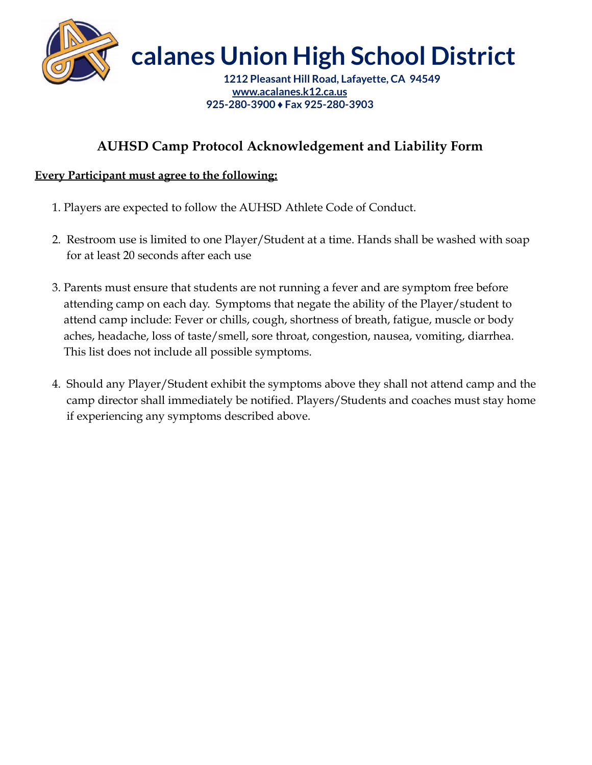

**calanes Union High School District**

**1212 Pleasant Hill Road, Lafayette, CA 94549 [www.acalanes.k12.ca.us](http://www.acalanes.k12.ca.us) 925-280-3900 ♦ Fax 925-280-3903**

## **AUHSD Camp Protocol Acknowledgement and Liability Form**

## **Every Participant must agree to the following:**

- 1. Players are expected to follow the AUHSD Athlete Code of Conduct.
- 2. Restroom use is limited to one Player/Student at a time. Hands shall be washed with soap for at least 20 seconds after each use
- 3. Parents must ensure that students are not running a fever and are symptom free before attending camp on each day. Symptoms that negate the ability of the Player/student to attend camp include: Fever or chills, cough, shortness of breath, fatigue, muscle or body aches, headache, loss of taste/smell, sore throat, congestion, nausea, vomiting, diarrhea. This list does not include all possible symptoms.
- 4. Should any Player/Student exhibit the symptoms above they shall not attend camp and the camp director shall immediately be notified. Players/Students and coaches must stay home if experiencing any symptoms described above.